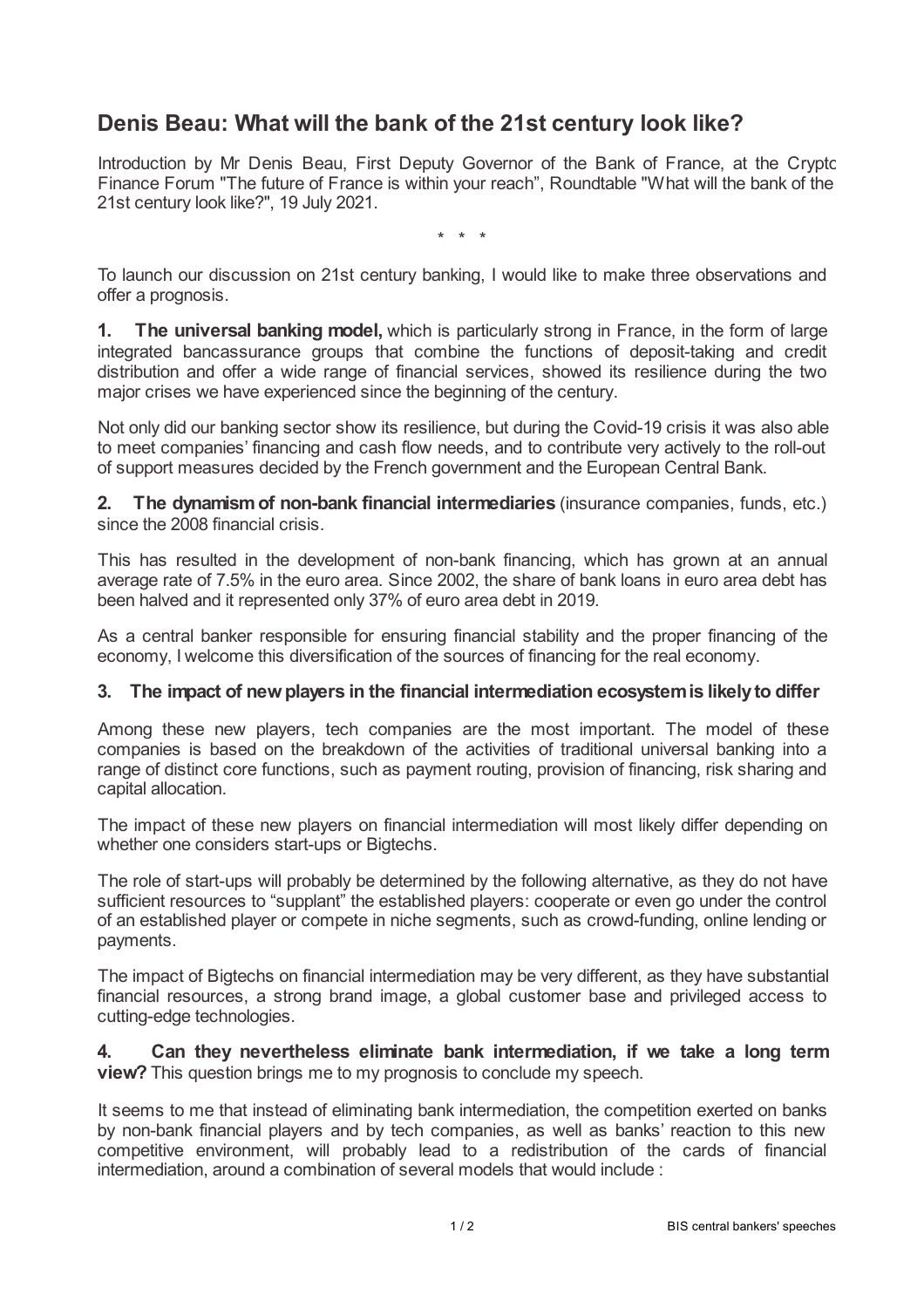## **Denis Beau: What will the bank of the 21st century look like?**

Introduction by Mr Denis Beau, First Deputy Governor of the Bank of France, at the Crypto Finance Forum "The future of France is within your reach", Roundtable "What will the bank of the 21st century look like?", 19 July 2021.

\* \* \*

To launch our discussion on 21st century banking, I would like to make three observations and offer a prognosis.

**1. The universal banking model,** which is particularly strong in France, in the form of large integrated bancassurance groups that combine the functions of deposit-taking and credit distribution and offer a wide range of financial services, showed its resilience during the two major crises we have experienced since the beginning of the century.

Not only did our banking sector show its resilience, but during the Covid-19 crisis it was also able to meet companies' financing and cash flow needs, and to contribute very actively to the roll-out of support measures decided by the French government and the European Central Bank.

**2. The dynamismof non-bank financial intermediaries** (insurance companies, funds, etc.) since the 2008 financial crisis.

This has resulted in the development of non-bank financing, which has grown at an annual average rate of 7.5% in the euro area. Since 2002, the share of bank loans in euro area debt has been halved and it represented only 37% of euro area debt in 2019.

As a central banker responsible for ensuring financial stability and the proper financing of the economy, I welcome this diversification of the sources of financing for the real economy.

## **3. The impact of newplayers in the financial intermediation ecosystemis likelyto differ**

Among these new players, tech companies are the most important. The model of these companies is based on the breakdown of the activities of traditional universal banking into a range of distinct core functions, such as payment routing, provision of financing, risk sharing and capital allocation.

The impact of these new players on financial intermediation will most likely differ depending on whether one considers start-ups or Bigtechs.

The role of start-ups will probably be determined by the following alternative, as they do not have sufficient resources to "supplant" the established players: cooperate or even go under the control of an established player or compete in niche segments, such as crowd-funding, online lending or payments.

The impact of Bigtechs on financial intermediation may be very different, as they have substantial financial resources, a strong brand image, a global customer base and privileged access to cutting-edge technologies.

**4. Can they nevertheless eliminate bank intermediation, if we take a long term view?** This question brings me to my prognosis to conclude my speech.

It seems to me that instead of eliminating bank intermediation, the competition exerted on banks by non-bank financial players and by tech companies, as well as banks' reaction to this new competitive environment, will probably lead to a redistribution of the cards of financial intermediation, around a combination of several models that would include :